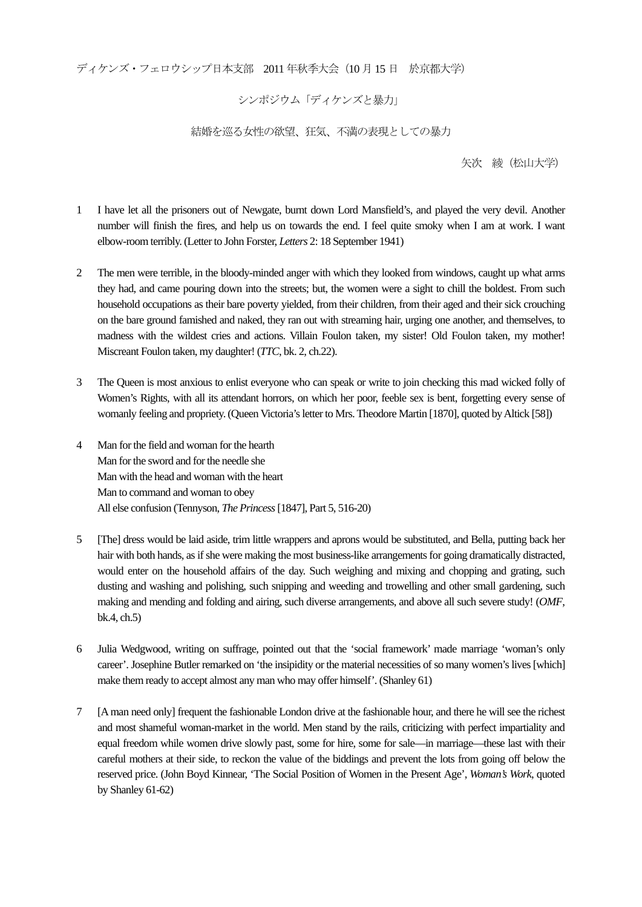ディケンズ・フェロウシップ日本支部 2011 年秋季大会(10 月15 日 於京都大学)

シンポジウム「ディケンズと暴力」

結婚を巡る女性の欲望、狂気、不満の表現としての暴力

矢次 綾(松山大学)

- 1 I have let all the prisoners out of Newgate, burnt down Lord Mansfield's, and played the very devil. Another number will finish the fires, and help us on towards the end. I feel quite smoky when I am at work. I want elbow-room terribly. (Letter to John Forster, *Letters* 2: 18 September 1941)
- 2 The men were terrible, in the bloody-minded anger with which they looked from windows, caught up what arms they had, and came pouring down into the streets; but, the women were a sight to chill the boldest. From such household occupations as their bare poverty yielded, from their children, from their aged and their sick crouching on the bare ground famished and naked, they ran out with streaming hair, urging one another, and themselves, to madness with the wildest cries and actions. Villain Foulon taken, my sister! Old Foulon taken, my mother! Miscreant Foulon taken, my daughter! (*TTC*, bk. 2, ch.22).
- 3 The Queen is most anxious to enlist everyone who can speak or write to join checking this mad wicked folly of Women's Rights, with all its attendant horrors, on which her poor, feeble sex is bent, forgetting every sense of womanly feeling and propriety. (Queen Victoria's letter to Mrs. Theodore Martin [1870], quoted by Altick [58])
- 4 Man for the field and woman for the hearth Man for the sword and for the needle she Man with the head and woman with the heart Man to command and woman to obey All else confusion (Tennyson, *The Princess* [1847], Part 5, 516-20)
- 5 [The] dress would be laid aside, trim little wrappers and aprons would be substituted, and Bella, putting back her hair with both hands, as if she were making the most business-like arrangements for going dramatically distracted, would enter on the household affairs of the day. Such weighing and mixing and chopping and grating, such dusting and washing and polishing, such snipping and weeding and trowelling and other small gardening, such making and mending and folding and airing, such diverse arrangements, and above all such severe study! (*OMF*, bk.4, ch.5)
- 6 Julia Wedgwood, writing on suffrage, pointed out that the 'social framework' made marriage 'woman's only career'. Josephine Butler remarked on 'the insipidity or the material necessities of so many women's lives [which] make them ready to accept almost any man who may offer himself'. (Shanley 61)
- 7 [A man need only] frequent the fashionable London drive at the fashionable hour, and there he will see the richest and most shameful woman-market in the world. Men stand by the rails, criticizing with perfect impartiality and equal freedom while women drive slowly past, some for hire, some for sale—in marriage—these last with their careful mothers at their side, to reckon the value of the biddings and prevent the lots from going off below the reserved price. (John Boyd Kinnear, 'The Social Position of Women in the Present Age', *Woman's Work*, quoted by Shanley 61-62)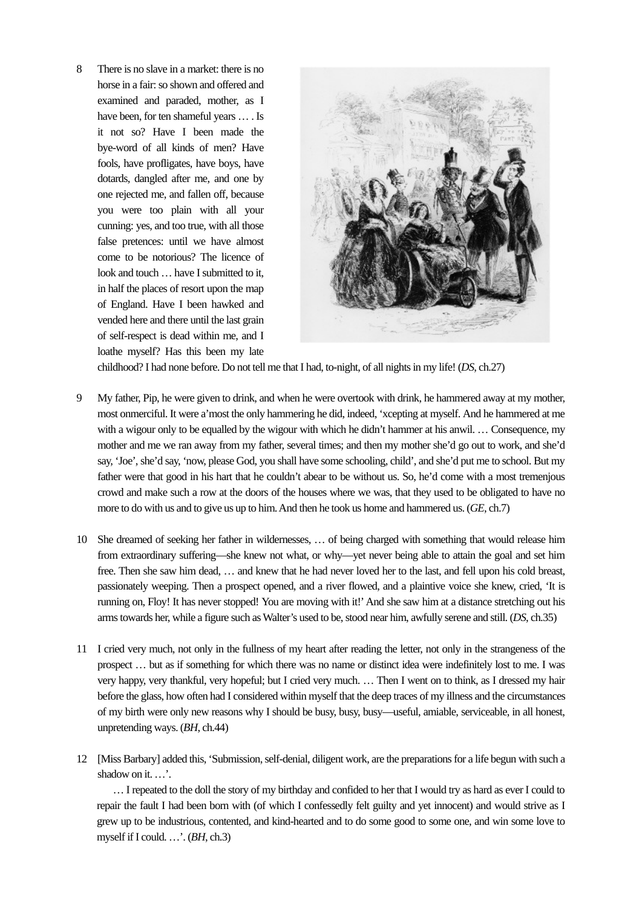8 There is no slave in a market: there is no horse in a fair: so shown and offered and examined and paraded, mother, as I have been, for ten shameful years … . Is it not so? Have I been made the bye-word of all kinds of men? Have fools, have profligates, have boys, have dotards, dangled after me, and one by one rejected me, and fallen off, because you were too plain with all your cunning: yes, and too true, with all those false pretences: until we have almost come to be notorious? The licence of look and touch … have I submitted to it, in half the places of resort upon the map of England. Have I been hawked and vended here and there until the last grain of self-respect is dead within me, and I loathe myself? Has this been my late



childhood? I had none before. Do not tell me that I had, to-night, of all nights in my life! (*DS*, ch.27)

- 9 My father, Pip, he were given to drink, and when he were overtook with drink, he hammered away at my mother, most onmerciful. It were a'most the only hammering he did, indeed, 'xcepting at myself. And he hammered at me with a wigour only to be equalled by the wigour with which he didn't hammer at his anwil. ... Consequence, my mother and me we ran away from my father, several times; and then my mother she'd go out to work, and she'd say, 'Joe', she'd say, 'now, please God, you shall have some schooling, child', and she'd put me to school. But my father were that good in his hart that he couldn't abear to be without us. So, he'd come with a most tremenjous crowd and make such a row at the doors of the houses where we was, that they used to be obligated to have no more to do with us and to give us up to him. And then he took us home and hammered us. (*GE*, ch.7)
- 10 She dreamed of seeking her father in wildernesses, … of being charged with something that would release him from extraordinary suffering—she knew not what, or why—yet never being able to attain the goal and set him free. Then she saw him dead, … and knew that he had never loved her to the last, and fell upon his cold breast, passionately weeping. Then a prospect opened, and a river flowed, and a plaintive voice she knew, cried, 'It is running on, Floy! It has never stopped! You are moving with it!' And she saw him at a distance stretching out his arms towards her, while a figure such as Walter's used to be, stood near him, awfully serene and still. (*DS*, ch.35)
- 11 I cried very much, not only in the fullness of my heart after reading the letter, not only in the strangeness of the prospect … but as if something for which there was no name or distinct idea were indefinitely lost to me. I was very happy, very thankful, very hopeful; but I cried very much. … Then I went on to think, as I dressed my hair before the glass, how often had I considered within myself that the deep traces of my illness and the circumstances of my birth were only new reasons why I should be busy, busy, busy—useful, amiable, serviceable, in all honest, unpretending ways. (*BH*, ch.44)
- 12 [Miss Barbary] added this, 'Submission, self-denial, diligent work, are the preparations for a life begun with such a shadow on it....'.

 … I repeated to the doll the story of my birthday and confided to her that I would try as hard as ever I could to repair the fault I had been born with (of which I confessedly felt guilty and yet innocent) and would strive as I grew up to be industrious, contented, and kind-hearted and to do some good to some one, and win some love to myself if I could. …'. (*BH*, ch.3)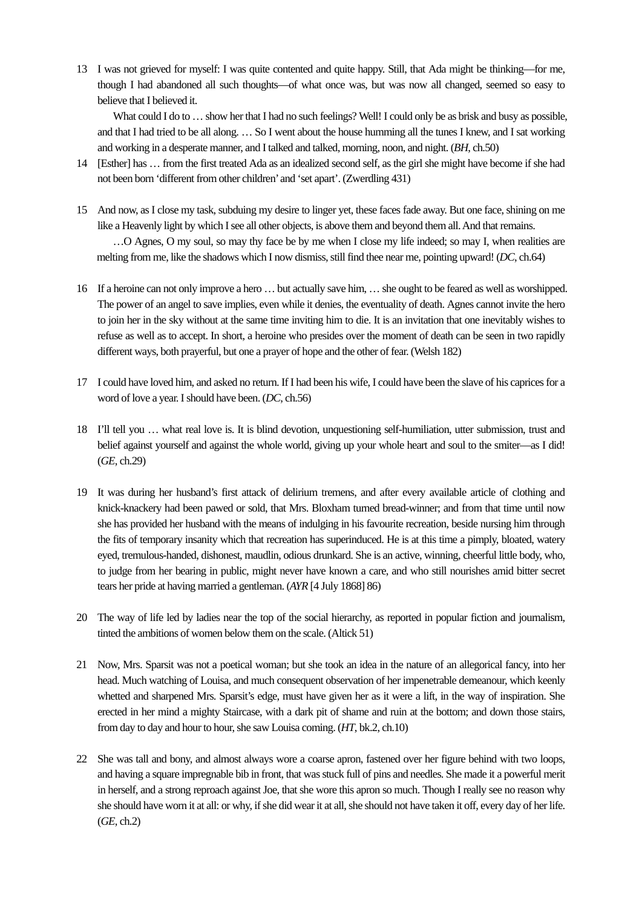13 I was not grieved for myself: I was quite contented and quite happy. Still, that Ada might be thinking—for me, though I had abandoned all such thoughts—of what once was, but was now all changed, seemed so easy to believe that I believed it.

What could I do to ... show her that I had no such feelings? Well! I could only be as brisk and busy as possible. and that I had tried to be all along. … So I went about the house humming all the tunes I knew, and I sat working and working in a desperate manner, and I talked and talked, morning, noon, and night. (*BH*, ch.50)

- 14 [Esther] has … from the first treated Ada as an idealized second self, as the girl she might have become if she had not been born 'different from other children' and 'set apart'. (Zwerdling 431)
- 15 And now, as I close my task, subduing my desire to linger yet, these faces fade away. But one face, shining on me like a Heavenly light by which I see all other objects, is above them and beyond them all. And that remains. …O Agnes, O my soul, so may thy face be by me when I close my life indeed; so may I, when realities are melting from me, like the shadows which I now dismiss, still find thee near me, pointing upward! (*DC*, ch.64)
- 16 If a heroine can not only improve a hero … but actually save him, … she ought to be feared as well as worshipped. The power of an angel to save implies, even while it denies, the eventuality of death. Agnes cannot invite the hero to join her in the sky without at the same time inviting him to die. It is an invitation that one inevitably wishes to refuse as well as to accept. In short, a heroine who presides over the moment of death can be seen in two rapidly different ways, both prayerful, but one a prayer of hope and the other of fear. (Welsh 182)
- 17 I could have loved him, and asked no return. If I had been his wife, I could have been the slave of his caprices for a word of love a year. I should have been. (*DC*, ch.56)
- 18 I'll tell you … what real love is. It is blind devotion, unquestioning self-humiliation, utter submission, trust and belief against yourself and against the whole world, giving up your whole heart and soul to the smiter—as I did! (*GE*, ch.29)
- 19 It was during her husband's first attack of delirium tremens, and after every available article of clothing and knick-knackery had been pawed or sold, that Mrs. Bloxham turned bread-winner; and from that time until now she has provided her husband with the means of indulging in his favourite recreation, beside nursing him through the fits of temporary insanity which that recreation has superinduced. He is at this time a pimply, bloated, watery eyed, tremulous-handed, dishonest, maudlin, odious drunkard. She is an active, winning, cheerful little body, who, to judge from her bearing in public, might never have known a care, and who still nourishes amid bitter secret tears her pride at having married a gentleman. (*AYR* [4 July 1868] 86)
- 20 The way of life led by ladies near the top of the social hierarchy, as reported in popular fiction and journalism, tinted the ambitions of women below them on the scale. (Altick 51)
- 21 Now, Mrs. Sparsit was not a poetical woman; but she took an idea in the nature of an allegorical fancy, into her head. Much watching of Louisa, and much consequent observation of her impenetrable demeanour, which keenly whetted and sharpened Mrs. Sparsit's edge, must have given her as it were a lift, in the way of inspiration. She erected in her mind a mighty Staircase, with a dark pit of shame and ruin at the bottom; and down those stairs, from day to day and hour to hour, she saw Louisa coming. (*HT*, bk.2, ch.10)
- 22 She was tall and bony, and almost always wore a coarse apron, fastened over her figure behind with two loops, and having a square impregnable bib in front, that was stuck full of pins and needles. She made it a powerful merit in herself, and a strong reproach against Joe, that she wore this apron so much. Though I really see no reason why she should have worn it at all: or why, if she did wear it at all, she should not have taken it off, every day of her life. (*GE*, ch.2)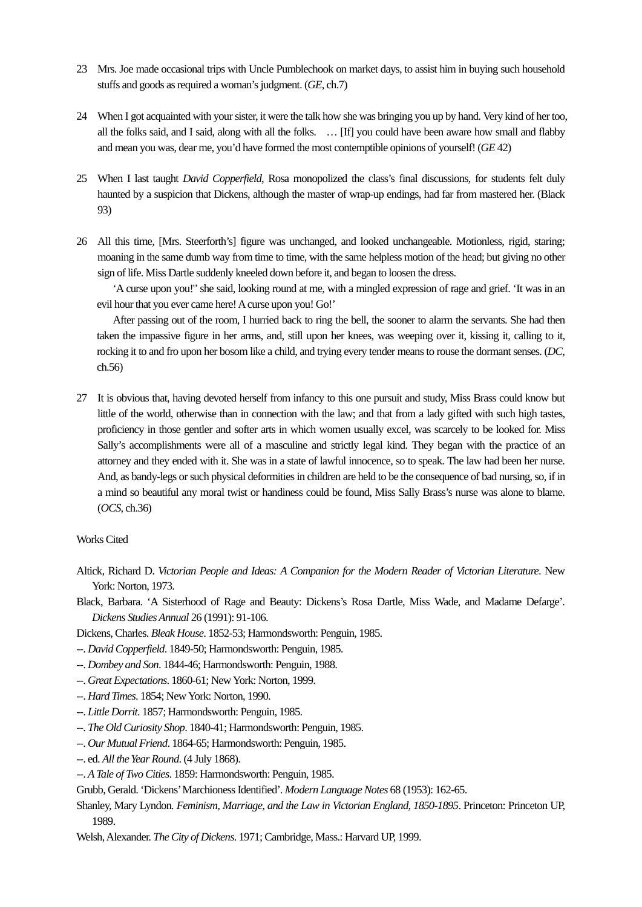- 23 Mrs. Joe made occasional trips with Uncle Pumblechook on market days, to assist him in buying such household stuffs and goods as required a woman's judgment. (*GE*, ch.7)
- 24 When I got acquainted with your sister, it were the talk how she was bringing you up by hand. Very kind of her too, all the folks said, and I said, along with all the folks. … [If] you could have been aware how small and flabby and mean you was, dear me, you'd have formed the most contemptible opinions of yourself! (*GE* 42)
- 25 When I last taught *David Copperfield*, Rosa monopolized the class's final discussions, for students felt duly haunted by a suspicion that Dickens, although the master of wrap-up endings, had far from mastered her. (Black 93)
- 26 All this time, [Mrs. Steerforth's] figure was unchanged, and looked unchangeable. Motionless, rigid, staring; moaning in the same dumb way from time to time, with the same helpless motion of the head; but giving no other sign of life. Miss Dartle suddenly kneeled down before it, and began to loosen the dress.

 'A curse upon you!'' she said, looking round at me, with a mingled expression of rage and grief. 'It was in an evil hour that you ever came here! A curse upon you! Go!'

 After passing out of the room, I hurried back to ring the bell, the sooner to alarm the servants. She had then taken the impassive figure in her arms, and, still upon her knees, was weeping over it, kissing it, calling to it, rocking it to and fro upon her bosom like a child, and trying every tender means to rouse the dormant senses. (*DC*, ch.56)

27 It is obvious that, having devoted herself from infancy to this one pursuit and study, Miss Brass could know but little of the world, otherwise than in connection with the law; and that from a lady gifted with such high tastes, proficiency in those gentler and softer arts in which women usually excel, was scarcely to be looked for. Miss Sally's accomplishments were all of a masculine and strictly legal kind. They began with the practice of an attorney and they ended with it. She was in a state of lawful innocence, so to speak. The law had been her nurse. And, as bandy-legs or such physical deformities in children are held to be the consequence of bad nursing, so, if in a mind so beautiful any moral twist or handiness could be found, Miss Sally Brass's nurse was alone to blame. (*OCS*, ch.36)

## Works Cited

Altick, Richard D. *Victorian People and Ideas: A Companion for the Modern Reader of Victorian Literature*. New York: Norton, 1973.

Black, Barbara. 'A Sisterhood of Rage and Beauty: Dickens's Rosa Dartle, Miss Wade, and Madame Defarge'. *Dickens Studies Annual* 26 (1991): 91-106.

Dickens, Charles. *Bleak House*. 1852-53; Harmondsworth: Penguin, 1985.

- --. *David Copperfield*. 1849-50; Harmondsworth: Penguin, 1985.
- --. *Dombey and Son*. 1844-46; Harmondsworth: Penguin, 1988.
- --. *Great Expectations*. 1860-61; New York: Norton, 1999.
- --. *Hard Times*. 1854; New York: Norton, 1990.
- --. *Little Dorrit*. 1857; Harmondsworth: Penguin, 1985.
- --. *The Old Curiosity Shop*. 1840-41; Harmondsworth: Penguin, 1985.
- --. *Our Mutual Friend*. 1864-65; Harmondsworth: Penguin, 1985.
- --. ed. *All the Year Round*. (4 July 1868).
- --. *A Tale of Two Cities*. 1859: Harmondsworth: Penguin, 1985.

Grubb, Gerald. 'Dickens' Marchioness Identified'. *Modern Language Notes* 68 (1953): 162-65.

Shanley, Mary Lyndon*. Feminism, Marriage, and the Law in Victorian England, 1850-1895*. Princeton: Princeton UP, 1989.

Welsh, Alexander. *The City of Dickens*. 1971; Cambridge, Mass.: Harvard UP, 1999.